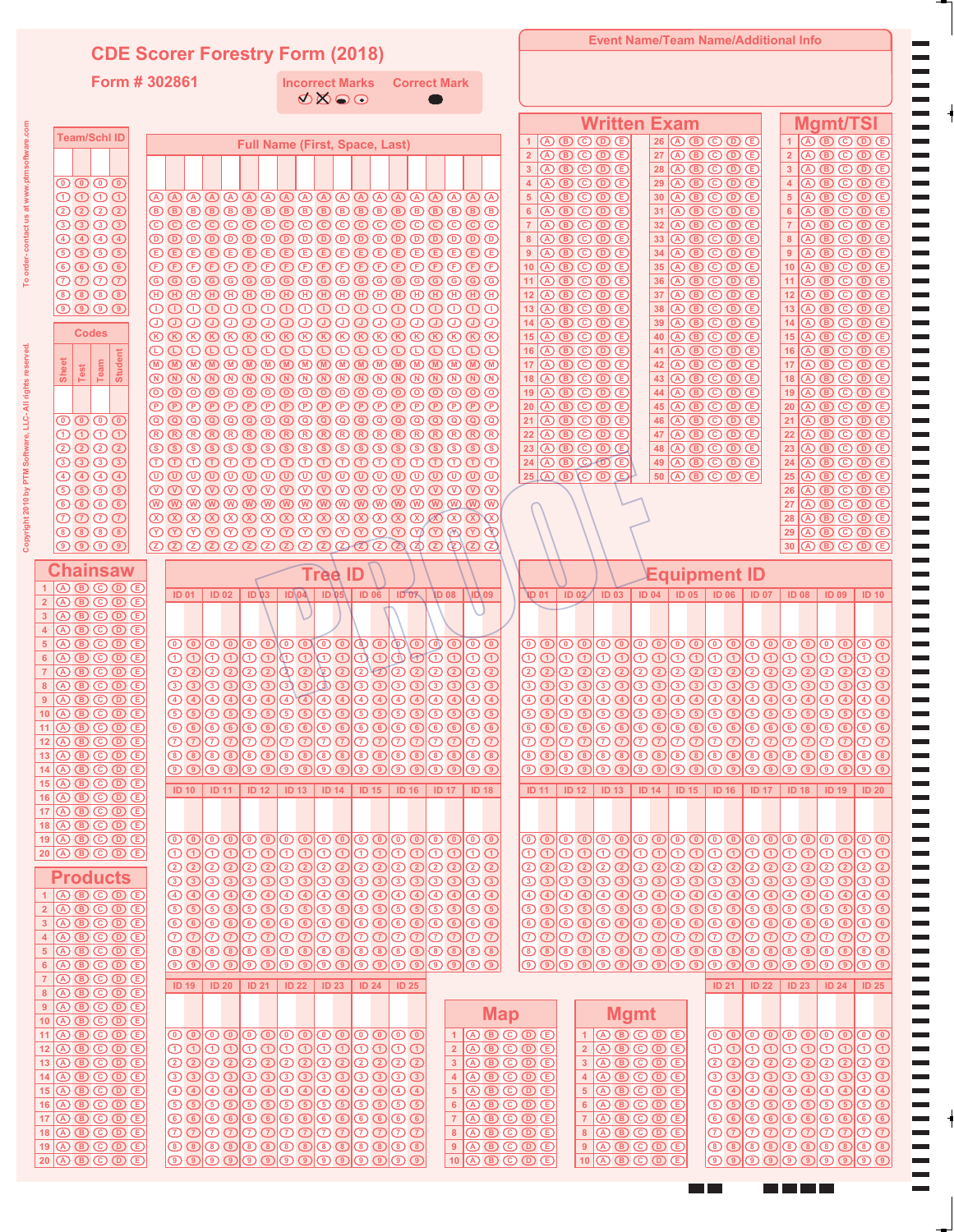## **CDE Scorer Forestry Form (2018)**

**Form # 302861**

**Incorrect Marks Correct Mark**

**Event Name/Team Name/Additional Info**

 $\blacksquare$ 

<u>mmmm</u>

m m

|                                                                                                                                                                                                                                                                                                                                                                 |                                                                                                                                                                                                                                                                                                                                                                                                                                                                                                                                                                                                                                                                                                                   | <b>Written Exam</b>                                                                                                                                                                                                                                                                                                                                                                                                                                                                                                                                                                                                                                                                                                       | <b>Mamt/TSI</b>                                                                                                                                                                                                                                                                                                                                     |
|-----------------------------------------------------------------------------------------------------------------------------------------------------------------------------------------------------------------------------------------------------------------------------------------------------------------------------------------------------------------|-------------------------------------------------------------------------------------------------------------------------------------------------------------------------------------------------------------------------------------------------------------------------------------------------------------------------------------------------------------------------------------------------------------------------------------------------------------------------------------------------------------------------------------------------------------------------------------------------------------------------------------------------------------------------------------------------------------------|---------------------------------------------------------------------------------------------------------------------------------------------------------------------------------------------------------------------------------------------------------------------------------------------------------------------------------------------------------------------------------------------------------------------------------------------------------------------------------------------------------------------------------------------------------------------------------------------------------------------------------------------------------------------------------------------------------------------------|-----------------------------------------------------------------------------------------------------------------------------------------------------------------------------------------------------------------------------------------------------------------------------------------------------------------------------------------------------|
| <b>Team/Schl ID</b>                                                                                                                                                                                                                                                                                                                                             | <b>Full Name (First, Space, Last)</b>                                                                                                                                                                                                                                                                                                                                                                                                                                                                                                                                                                                                                                                                             | $\textcircled{\tiny{A}} \textcircled{\tiny{B}} \textcircled{\tiny{B}} \textcircled{\tiny{E}}$<br>$26$ (A) (B) (C) (D) (E)                                                                                                                                                                                                                                                                                                                                                                                                                                                                                                                                                                                                 | $1$ $\circledR$ $\circledR$ $\circledR$ $\circledR$                                                                                                                                                                                                                                                                                                 |
|                                                                                                                                                                                                                                                                                                                                                                 |                                                                                                                                                                                                                                                                                                                                                                                                                                                                                                                                                                                                                                                                                                                   | $\overline{2}$<br>$\textcircled{\tiny{A}} \textcircled{\tiny{B}} \textcircled{\tiny{B}} \textcircled{\tiny{E}}$<br>$27$ (A $\circledcirc$ $\circledcirc$ $\circledcirc$ $\circledcirc$                                                                                                                                                                                                                                                                                                                                                                                                                                                                                                                                    | $2$ (A B C D E                                                                                                                                                                                                                                                                                                                                      |
| ${\color{blue}\mathbf{\circ}}\overline{\mathbf{\circ}}\overline{\mathbf{\circ}}\overline{\mathbf{\circ}}$                                                                                                                                                                                                                                                       |                                                                                                                                                                                                                                                                                                                                                                                                                                                                                                                                                                                                                                                                                                                   | $\mathsf 3$<br>$\textcircled{\tiny{A}} \textcircled{\tiny{B}} \textcircled{\tiny{B}} \textcircled{\tiny{E}}$<br>$28$ (A B C D E<br>$\overline{4}$<br>$\textcircled{\tiny{A}} \textcircled{\tiny{B}} \textcircled{\tiny{B}} \textcircled{\tiny{E}}$<br>$29$ (A B C D E                                                                                                                                                                                                                                                                                                                                                                                                                                                     | 3 <sup>7</sup><br>$\textcircled{\textcircled{\tiny{R}}}\textcircled{\textcircled{\tiny{R}}}\textcircled{\textcircled{\tiny{R}}}$<br>$\overline{4}$<br>$\textcircled{\textcircled{\tiny{R}}}\ \textcircled{\textcircled{\tiny{R}}}$                                                                                                                  |
| $\textcircled{\tiny{1}} \textcircled{\tiny{2}} \textcircled{\tiny{3}}$                                                                                                                                                                                                                                                                                          |                                                                                                                                                                                                                                                                                                                                                                                                                                                                                                                                                                                                                                                                                                                   | $\sqrt{5}$<br>$(A)$ $(B)$ $(C)$ $(B)$ $(E)$<br>$30$ (A $\bigcirc$ $\bigcirc$ $\bigcirc$ $\bigcirc$                                                                                                                                                                                                                                                                                                                                                                                                                                                                                                                                                                                                                        | 5 <sup>5</sup><br>$\textcircled{\textcircled{\tiny{R}}}\textcircled{\textcircled{\tiny{R}}}\textcircled{\textcircled{\tiny{R}}}$                                                                                                                                                                                                                    |
| $\bigcirc$ $\bigcirc$ $\bigcirc$ $\bigcirc$                                                                                                                                                                                                                                                                                                                     | $\begin{tabular}{c} \multicolumn{2}{c}{\textbf{0} \end{tabular}} \begin{tabular}{c} \multicolumn{2}{c}{\textbf{0} \end{tabular}} \begin{tabular}{c} \multicolumn{2}{c}{\textbf{0} \end{tabular}} \begin{tabular}{c} \multicolumn{2}{c}{\textbf{0} \end{tabular}} \begin{tabular}{c} \multicolumn{2}{c}{\textbf{0} \end{tabular}} \begin{tabular}{c} \multicolumn{2}{c}{\textbf{0} \end{tabular}} \begin{tabular}{c} \multicolumn{2}{c}{\textbf{0} \end{tabular}} \begin{tabular}{c} \multicolumn{2}{c}{$                                                                                                                                                                                                          | $\overline{6}$<br>$(A)$ $(B)$ $(C)$ $(B)$ $(E)$<br>$31$ $\circled{A}$ $\circled{B}$ $\circled{D}$ $\circled{D}$                                                                                                                                                                                                                                                                                                                                                                                                                                                                                                                                                                                                           | $6\phantom{a}$<br>$(A)$ $(B)$ $(C)$ $(B)$ $(E)$                                                                                                                                                                                                                                                                                                     |
| 3000<br>$\bigcirc$ $\bigcirc$ $\bigcirc$ $\bigcirc$ $\bigcirc$                                                                                                                                                                                                                                                                                                  | ©©©©©©©©©©©©©©©©©©                                                                                                                                                                                                                                                                                                                                                                                                                                                                                                                                                                                                                                                                                                | $\overline{\mathcal{I}}$<br>$\textcircled{\tiny{A}} \textcircled{\tiny{B}} \textcircled{\tiny{B}} \textcircled{\tiny{E}}$<br>$32$ (A $\circledcirc$ $\circledcirc$ $\circledcirc$ $\circledcirc$<br>$\overline{\bf 8}$<br>$\textcircled{\tiny{A}} \textcircled{\tiny{B}} \textcircled{\tiny{B}} \textcircled{\tiny{E}}$<br>$33$ $\overline{)$ $\overline{)$ $\overline{)$ $\overline{)$ $\overline{)$ $\overline{)$ $\overline{)$ $\overline{)$ $\overline{)$ $\overline{)$ $\overline{)$ $\overline{)$ $\overline{)$ $\overline{)$ $\overline{)$ $\overline{)$ $\overline{)$ $\overline{)$ $\overline{)$ $\overline{)$ $\overline{)$ $\overline{)$ $\overline{)$ $\overline{)$ $\overline{)$ $\overline{)$ $\overline{)$ | $\overline{7}$<br>$\textcircled{\textcircled{\tiny{R}}}\ \textcircled{\textcircled{\tiny{R}}}\ \textcircled{\textcircled{\tiny{R}}}$<br>$\bf{8}$<br>$\textcircled{\textcircled{\tiny{R}}}\textcircled{\textcircled{\tiny{R}}}\textcircled{\textcircled{\tiny{R}}}$                                                                                  |
| $\begin{picture}(5,6) \put(0,0) {\line(1,0){155}} \put(1,0) {\line(1,0){155}} \put(1,0) {\line(1,0){155}} \put(1,0) {\line(1,0){155}} \put(1,0) {\line(1,0){155}} \put(1,0) {\line(1,0){155}} \put(1,0) {\line(1,0){155}} \put(1,0) {\line(1,0){155}} \put(1,0) {\line(1,0){155}} \put(1,0) {\line(1,0){155}} \put(1,0) {\line(1,0){155}} \put(1,0) {\line(1,0$ | <b>@@@@@@@@@@@@@@@@@</b> @                                                                                                                                                                                                                                                                                                                                                                                                                                                                                                                                                                                                                                                                                        | $\boldsymbol{9}$<br>$\textcircled{\tiny{A}} \textcircled{\tiny{B}} \textcircled{\tiny{B}} \textcircled{\tiny{E}}$<br>$34$ (A $\circledR$ $\circledR$ $\circledR$ $\circledR$                                                                                                                                                                                                                                                                                                                                                                                                                                                                                                                                              | 9<br>$\textcircled{\tiny{A}} \textcircled{\tiny{B}} \textcircled{\tiny{B}} \textcircled{\tiny{E}}$                                                                                                                                                                                                                                                  |
| $\circledcirc\circledcirc\circledcirc$                                                                                                                                                                                                                                                                                                                          |                                                                                                                                                                                                                                                                                                                                                                                                                                                                                                                                                                                                                                                                                                                   | 10<br>$\textcircled{\tiny{A}} \textcircled{\tiny{B}} \textcircled{\tiny{B}} \textcircled{\tiny{E}}$<br>$35$ $\circled{A}$ $\circled{B}$ $\circled{D}$ $\circled{D}$                                                                                                                                                                                                                                                                                                                                                                                                                                                                                                                                                       | $10$ (A) $(B)$ (C) $(D)$ (E)                                                                                                                                                                                                                                                                                                                        |
| $\overline{O}$ $\overline{O}$ $\overline{O}$ $\overline{O}$<br>0000                                                                                                                                                                                                                                                                                             | ©©©©©©©©©©©©©©©©©©©                                                                                                                                                                                                                                                                                                                                                                                                                                                                                                                                                                                                                                                                                               | $11$ $\circledR$ $\circledR$ $\circledR$ $\circledR$<br>$36$ (A) $\circledR$ $\circledR$ $\circledR$ $\circledR$<br>$12$ (A $\circledcirc$ $\circledcirc$ $\circledcirc$<br>$37$ (A) $\circled{B}$ $\circled{D}$ $\circled{D}$                                                                                                                                                                                                                                                                                                                                                                                                                                                                                            | $11$ (A $\circledcirc$ $\circledcirc$ $\circledcirc$<br>$12$ (A) $\circledR$ (O) $\circledR$                                                                                                                                                                                                                                                        |
| $\textcircled{\textcircled{\small{1}}}\ \textcircled{\small{1}}$                                                                                                                                                                                                                                                                                                | ${\color{blue}\textcolor{blue}{\color{blue}\textbf{0}}}\textcolor{blue}{\color{blue}\textbf{0}}\textcolor{blue}{\color{blue}\textbf{0}}\textcolor{blue}{\color{blue}\textbf{0}}\textcolor{blue}{\color{blue}\textbf{0}}\textcolor{blue}{\color{blue}\textbf{0}}\textcolor{blue}{\color{blue}\textbf{0}}\textcolor{blue}{\color{blue}\textbf{0}}\textcolor{blue}{\color{blue}\textbf{0}}\textcolor{blue}{\color{blue}\textbf{0}}\textcolor{blue}{\color{blue}\textbf{0}}\textcolor{blue}{\color{blue}\textbf{0}}\textcolor{blue}{\color{blue}\textbf{0}}\textcolor{blue}{\color$                                                                                                                                   | $13$ $\circled{A}$ $\circled{B}$ $\circled{D}$ $\circled{D}$<br>$38$ $\overline{)$ $\overline{)$ $\overline{)$ $\overline{)$ $\overline{)$ $\overline{)$ $\overline{)$ $\overline{)$ $\overline{)$ $\overline{)$ $\overline{)$ $\overline{)$ $\overline{)$ $\overline{)$ $\overline{)$ $\overline{)$ $\overline{)$ $\overline{)$ $\overline{)$ $\overline{)$ $\overline{)$ $\overline{)$ $\overline{)$ $\overline{)$ $\overline{)$ $\overline{)$ $\overline{)$                                                                                                                                                                                                                                                            | $13$ (A) $\circledR$ $\circledR$ $\circledR$                                                                                                                                                                                                                                                                                                        |
| <b>Codes</b>                                                                                                                                                                                                                                                                                                                                                    | ${\color{blue}\textcolor{blue}{\color{blue}\textcolor{blue}{\color{blue}\textcolor{blue}{\color{blue}\textcolor{blue}{\color{blue}\textcolor{blue}{\color{blue}\textcolor{blue}{\color{blue}\textcolor{blue}{\color{blue}\textcolor{blue}{\color{blue}\textcolor{blue}{\color{blue}\textcolor{blue}{\color{blue}\textcolor{blue}{\color{blue}\textcolor{blue}{\color{blue}\textcolor{blue}{\color{blue}\textcolor{blue}{\color{blue}\textcolor{blue}{\color{blue}\textcolor{blue}{\color{blue}\textcolor{blue}{\color{blue}\textcolor{blue}{\color{blue}\textcolor{blue}{\color{blue}\textcolor{blue}{\color{blue}\textcolor{blue}{\color{blue}\textcolor{blue}{$                                                 | $14$ (A $\circledcirc$ $\circledcirc$ $\circledcirc$<br>$39$ (A) $\circled{B}$ $\circled{D}$ $\circled{D}$                                                                                                                                                                                                                                                                                                                                                                                                                                                                                                                                                                                                                | $14$ (A) $(B)$ (C) $(D)$ (E)                                                                                                                                                                                                                                                                                                                        |
|                                                                                                                                                                                                                                                                                                                                                                 | 0000000000000000000                                                                                                                                                                                                                                                                                                                                                                                                                                                                                                                                                                                                                                                                                               | $15$ (A) $\circledR$ $\circledR$ $\circledR$ $\circledR$<br>0000D<br>40<br>$16$ (A $\circledcirc$ $\circledcirc$ $\circledcirc$ $\circledcirc$<br>$41$ (A $\circledcirc$ $\circledcirc$ $\circledcirc$ $\circledcirc$                                                                                                                                                                                                                                                                                                                                                                                                                                                                                                     | $15$ (A) $\circledR$ $\circledR$ $\circledR$ $\circledR$<br>$16$ (A) $\circledR$ $\circledR$ $\circledR$ $\circledR$                                                                                                                                                                                                                                |
| Student                                                                                                                                                                                                                                                                                                                                                         | <b>®®®®®®®®®®®®®®®®®®®®</b>                                                                                                                                                                                                                                                                                                                                                                                                                                                                                                                                                                                                                                                                                       | $17$ (A B C D E<br>$\overline{A}$ $\overline{B}$ $\overline{C}$ $\overline{D}$ $\overline{C}$<br>42                                                                                                                                                                                                                                                                                                                                                                                                                                                                                                                                                                                                                       | $17$ (A $\circledR$ $\circledR$ $\circledR$ $\circledR$                                                                                                                                                                                                                                                                                             |
| Sheet<br>Team<br>Test                                                                                                                                                                                                                                                                                                                                           |                                                                                                                                                                                                                                                                                                                                                                                                                                                                                                                                                                                                                                                                                                                   | $18$ (A) $\circled{B}$ $\circled{D}$ $\circled{D}$<br>$43$ (A) $\circledR$ $\circledR$ $\circledR$ $\circledR$                                                                                                                                                                                                                                                                                                                                                                                                                                                                                                                                                                                                            | $18$ (A) $\circledR$ $\circledR$ $\circledR$ $\circledR$                                                                                                                                                                                                                                                                                            |
|                                                                                                                                                                                                                                                                                                                                                                 | ©©©©©©©©©©©©©©©©©©©                                                                                                                                                                                                                                                                                                                                                                                                                                                                                                                                                                                                                                                                                               | 19<br>$\textcircled{\textcircled{\tiny{R}}}\ \textcircled{\textcircled{\tiny{R}}}\ \textcircled{\textcircled{\tiny{R}}}$<br>$44$ (A B C D E<br>20<br>$\textcircled{\textcircled{\tiny{R}}}\ \textcircled{\textcircled{\tiny{R}}}\ \textcircled{\textcircled{\tiny{R}}}$<br>$45$ (A B C D E                                                                                                                                                                                                                                                                                                                                                                                                                                | $19$ (A) $\circled{B}$ $\circled{D}$ $\circled{D}$<br>20   ① ⑤ ③ ③ ⑤                                                                                                                                                                                                                                                                                |
| ${\color{blue}\mathbf{\circ}}\overline{\mathbf{\circ}}\overline{\mathbf{\circ}}\overline{\mathbf{\circ}}$                                                                                                                                                                                                                                                       | @@@@@@@@@@@@@@@@@@                                                                                                                                                                                                                                                                                                                                                                                                                                                                                                                                                                                                                                                                                                | 21<br>$A \times C \times C$<br>$46$ (A $\circledR$ $\circledR$ $\circledR$ $\circledR$                                                                                                                                                                                                                                                                                                                                                                                                                                                                                                                                                                                                                                    | $21$ (A) $(B)$ (C) $(D)$ (E)                                                                                                                                                                                                                                                                                                                        |
| $\begin{picture}(45,10) \put(0,0){\line(1,0){10}} \put(15,0){\line(1,0){10}} \put(15,0){\line(1,0){10}} \put(15,0){\line(1,0){10}} \put(15,0){\line(1,0){10}} \put(15,0){\line(1,0){10}} \put(15,0){\line(1,0){10}} \put(15,0){\line(1,0){10}} \put(15,0){\line(1,0){10}} \put(15,0){\line(1,0){10}} \put(15,0){\line(1,0){10}} \put(15,0){\line(1$             | <b>RRRRRRRRRRRRRRRRRR</b>                                                                                                                                                                                                                                                                                                                                                                                                                                                                                                                                                                                                                                                                                         | $\overline{22}$<br>$(A)$ $(B)$ $(C)$ $(D)$ $(E)$<br>$47$ (A $\circledR$ $\circledR$ $\circledR$ $\circledR$                                                                                                                                                                                                                                                                                                                                                                                                                                                                                                                                                                                                               | 22   ① ⑤ ③ ③ ② ⑤                                                                                                                                                                                                                                                                                                                                    |
| QQQQ<br>3000                                                                                                                                                                                                                                                                                                                                                    | 0000000000000000000                                                                                                                                                                                                                                                                                                                                                                                                                                                                                                                                                                                                                                                                                               | 23<br>0000D<br>$48$ (A $\circledcirc$ $\circledcirc$ $\circledcirc$ $\circledcirc$<br>$49$ (A) (B) (C) (D) (E)                                                                                                                                                                                                                                                                                                                                                                                                                                                                                                                                                                                                            | $23$ (A) $\circledR$ $\circledR$ $\circledR$<br>$24$ (A) $(B)$ (C) $(D)$ (E)                                                                                                                                                                                                                                                                        |
| $\bigcirc$ $\bigcirc$ $\bigcirc$ $\bigcirc$ $\bigcirc$                                                                                                                                                                                                                                                                                                          | ${\color{blue}\textcircled{\color{blue}\textcircled{\color{blue}\textcircled{\color{blue}\textcircled{\color{blue}\textcircled{\color{blue}\textcircled{\color{blue}\textcircled{\color{blue}\textcircled{\color{blue}\textcircled{\color{blue}\textcircled{\color{blue}\textcircled{\color{blue}\textcircled{\color{blue}\textcircled{\color{blue}\textcircled{\color{blue}\textcircled{\color{blue}\textcircled{\color{blue}\textcircled{\color{blue}\textcircled{\color{blue}\textcircled{\color{blue}\textcircled{\color{blue}\textcircled{\color{blue}\textcircled{\color{blue}\textcircled{\color{blue}\textcircled{\color{blue}\textcircled{\color{blue}\textcircled{\color{blue}\textcircled{\color{blue$ | $25$ (A) $\circledR$ (O) $\circledR$<br>$50$ (A $\bigcirc$ $\bigcirc$ $\bigcirc$ $\bigcirc$                                                                                                                                                                                                                                                                                                                                                                                                                                                                                                                                                                                                                               | $25$ (A $\circledcirc$ $\circledcirc$ $\circledcirc$ $\circledcirc$                                                                                                                                                                                                                                                                                 |
| $\circledcirc$ $\circledcirc$ $\circledcirc$                                                                                                                                                                                                                                                                                                                    | ${\color{blue}\textcircled{\color{blue}0}}{\color{green}\textcircled{\color{blue}0}}{\color{green}\textcircled{\color{blue}0}}{\color{green}\textcircled{\color{blue}0}}{\color{green}\textcircled{\color{blue}0}}{\color{green}\textcircled{\color{blue}0}}{\color{green}\textcircled{\color{blue}0}}{\color{green}\textcircled{\color{blue}0}}{\color{green}\textcircled{\color{blue}0}}{\color{green}\textcircled{\color{blue}0}}{\color{green}\textcircled{\color{blue}0}}{\color{green}\textcircled{\color{blue}0}}{\color{green}\textcircled{\color{blue}0}}{\color{green}\textcircled{\color{blue}0}}{\color{green}\textcircled{\color$                                                                    |                                                                                                                                                                                                                                                                                                                                                                                                                                                                                                                                                                                                                                                                                                                           | $26$ (A) $\circledR$ $\circledR$ $\circledR$ $\circledR$                                                                                                                                                                                                                                                                                            |
| $\circledcirc$ $\circledcirc$ $\circledcirc$<br>$\overline{O}$ $\overline{O}$ $\overline{O}$ $\overline{O}$                                                                                                                                                                                                                                                     | $\textcircled{\footnotesize{x}} \textcirc \textcircled{\footnotesize{x}} \textcirc \textcircled{\footnotesize{x}} \textcirc \textcircled{\footnotesize{x}} \textcirc \textcircled{\footnotesize{x}} \textcirc \textcircled{\footnotesize{x}} \textcirc \textcircled{\footnotesize{x}} \textcirc \textcircled{\footnotesize{x}}$                                                                                                                                                                                                                                                                                                                                                                                   |                                                                                                                                                                                                                                                                                                                                                                                                                                                                                                                                                                                                                                                                                                                           | $27$ (A) $(B)$ (C) $(D)$ (E)<br>$28 \, (A) \, (B) \, (C) \, (D) \, (E)$                                                                                                                                                                                                                                                                             |
| $\circledcirc$ $\circledcirc$ $\circledcirc$                                                                                                                                                                                                                                                                                                                    |                                                                                                                                                                                                                                                                                                                                                                                                                                                                                                                                                                                                                                                                                                                   |                                                                                                                                                                                                                                                                                                                                                                                                                                                                                                                                                                                                                                                                                                                           | $\textcircled{\textcircled{\tiny{R}}}\ \textcircled{\textcircled{\tiny{R}}}$<br>29                                                                                                                                                                                                                                                                  |
| $\circledcirc$ $\circledcirc$                                                                                                                                                                                                                                                                                                                                   | ${\mathcal{Q}}{\mathcal{Q}}{\mathcal{Q}}{\mathcal{Q}}{\mathcal{Q}}{\mathcal{Q}}{\mathcal{Q}}{\mathcal{Q}}{\mathcal{Q}}{\mathcal{Q}}{\mathcal{Q}}{\mathcal{Q}}{\mathcal{Q}}{\mathcal{Q}}{\mathcal{Q}}{\mathcal{Q}}{\mathcal{Q}}{\mathcal{Q}}{\mathcal{Q}}{\mathcal{Q}}{\mathcal{Q}}{\mathcal{Q}}{\mathcal{Q}}{\mathcal{Q}}{\mathcal{Q}}$                                                                                                                                                                                                                                                                                                                                                                           |                                                                                                                                                                                                                                                                                                                                                                                                                                                                                                                                                                                                                                                                                                                           | $30$ (A) $\circledR$ $\circledR$ $\circledR$ $\circledR$                                                                                                                                                                                                                                                                                            |
| Chainsaw                                                                                                                                                                                                                                                                                                                                                        | <b>Trèe ID</b>                                                                                                                                                                                                                                                                                                                                                                                                                                                                                                                                                                                                                                                                                                    | <b>Equipment ID</b>                                                                                                                                                                                                                                                                                                                                                                                                                                                                                                                                                                                                                                                                                                       |                                                                                                                                                                                                                                                                                                                                                     |
| $\overline{A}$ $\overline{B}$ $\overline{C}$ $\overline{D}$ $\overline{E}$                                                                                                                                                                                                                                                                                      | IDOZ<br><b>ID 02</b><br>$ID$ <sub>03</sub><br>$ID\0A$<br>$ID \, 05$   ID 06<br><b>D</b> 08<br>\ID\09<br><b>ID 01</b>                                                                                                                                                                                                                                                                                                                                                                                                                                                                                                                                                                                              | ID 02/<br><b>ID 03</b><br><b>ID 04</b><br><b>ID 01</b><br><b>ID 05</b><br><b>ID 06</b><br><b>ID 07</b>                                                                                                                                                                                                                                                                                                                                                                                                                                                                                                                                                                                                                    | <b>ID 08</b><br><b>ID 09</b><br><b>ID 10</b>                                                                                                                                                                                                                                                                                                        |
| $\mathbf{\mathbb{A}}\mathbf{\mathbb{B}}\mathbf{\mathbb{O}}\mathbf{\mathbb{O}}\mathbf{\mathbb{C}}$<br>$\overline{O}$ $\overline{O}$ $\overline{O}$ $\overline{O}$ $\overline{O}$                                                                                                                                                                                 |                                                                                                                                                                                                                                                                                                                                                                                                                                                                                                                                                                                                                                                                                                                   |                                                                                                                                                                                                                                                                                                                                                                                                                                                                                                                                                                                                                                                                                                                           |                                                                                                                                                                                                                                                                                                                                                     |
| $\overline{O}$ $\overline{O}$ $\overline{O}$ $\overline{O}$ $\overline{O}$                                                                                                                                                                                                                                                                                      |                                                                                                                                                                                                                                                                                                                                                                                                                                                                                                                                                                                                                                                                                                                   |                                                                                                                                                                                                                                                                                                                                                                                                                                                                                                                                                                                                                                                                                                                           |                                                                                                                                                                                                                                                                                                                                                     |
| $\mathbf{\mathbb{A}}\mathbf{\mathbb{B}}\mathbf{\mathbb{O}}\mathbf{\mathbb{O}}\mathbf{\mathbb{C}}$<br>$\overline{O}$ $\overline{O}$ $\overline{O}$ $\overline{O}$ $\overline{O}$                                                                                                                                                                                 | @@@@@@@@@@@@@@@@@@                                                                                                                                                                                                                                                                                                                                                                                                                                                                                                                                                                                                                                                                                                |                                                                                                                                                                                                                                                                                                                                                                                                                                                                                                                                                                                                                                                                                                                           |                                                                                                                                                                                                                                                                                                                                                     |
| $\textcircled{\textcircled{\tiny{R}}}\textcircled{\textcircled{\tiny{R}}}$                                                                                                                                                                                                                                                                                      | 00000000000000000000                                                                                                                                                                                                                                                                                                                                                                                                                                                                                                                                                                                                                                                                                              |                                                                                                                                                                                                                                                                                                                                                                                                                                                                                                                                                                                                                                                                                                                           |                                                                                                                                                                                                                                                                                                                                                     |
| $\bigcirc$ $\bigcirc$ $\bigcirc$ $\bigcirc$ $\bigcirc$                                                                                                                                                                                                                                                                                                          | 00000000000000000000                                                                                                                                                                                                                                                                                                                                                                                                                                                                                                                                                                                                                                                                                              |                                                                                                                                                                                                                                                                                                                                                                                                                                                                                                                                                                                                                                                                                                                           |                                                                                                                                                                                                                                                                                                                                                     |
| $\bigcirc$ $\bigcirc$ $\bigcirc$ $\bigcirc$ $\bigcirc$<br>9<br>$\overline{O}$ $\overline{O}$ $\overline{O}$ $\overline{O}$ $\overline{O}$<br>10 <sub>1</sub>                                                                                                                                                                                                    | $\textcircled{\footnotesize{4}} \textcircled{\footnotesize{4}} \textcircled{\footnotesize{4}} \textcircled{\footnotesize{4}} \textcircled{\footnotesize{4}} \textcircled{\footnotesize{4}} \textcircled{\footnotesize{4}} \textcircled{\footnotesize{4}} \textcircled{\footnotesize{4}} \textcircled{\footnotesize{4}} \textcircled{\footnotesize{4}} \textcircled{\footnotesize{4}} \textcircled{\footnotesize{4}} \textcircled{\footnotesize{4}} \textcircled{\footnotesize{4}} \textcircled{\footnotesize{4}} \textcircled{\footnotesize{4}} \textcircled{\footnotesize{4}} \textcircled{\footnotesize{4}} \textcircled{\footnotesize{4}}$<br>00000000000000000000                                             | 00000000000000000000000                                                                                                                                                                                                                                                                                                                                                                                                                                                                                                                                                                                                                                                                                                   |                                                                                                                                                                                                                                                                                                                                                     |
| $\circledR \circledR \circledR \circledR$<br>11                                                                                                                                                                                                                                                                                                                 |                                                                                                                                                                                                                                                                                                                                                                                                                                                                                                                                                                                                                                                                                                                   |                                                                                                                                                                                                                                                                                                                                                                                                                                                                                                                                                                                                                                                                                                                           |                                                                                                                                                                                                                                                                                                                                                     |
| $\circledR \circledR \circledR \circledR$<br>12                                                                                                                                                                                                                                                                                                                 | 0 0 0 0 0 0 0 0 0 0 0 0 0 0 0 0 0 0 0                                                                                                                                                                                                                                                                                                                                                                                                                                                                                                                                                                                                                                                                             |                                                                                                                                                                                                                                                                                                                                                                                                                                                                                                                                                                                                                                                                                                                           |                                                                                                                                                                                                                                                                                                                                                     |
| $\overline{A}$ $\overline{B}$ $\overline{C}$ $\overline{D}$ $\overline{E}$<br>13<br> ① ® © ® ©<br>14                                                                                                                                                                                                                                                            | 0 0 0 0 0 0 0 0 0 0 0 0 0 0 0 0 0 0 0<br>$\textcircled{\footnotesize{1}}\textcircled{\footnotesize{1}}\textcircled{\footnotesize{1}}\textcircled{\footnotesize{1}}\textcircled{\footnotesize{1}}\textcircled{\footnotesize{1}}\textcircled{\footnotesize{1}}\textcircled{\footnotesize{1}}\textcircled{\footnotesize{1}}\textcircled{\footnotesize{1}}\textcircled{\footnotesize{1}}\textcircled{\footnotesize{1}}\textcircled{\footnotesize{1}}\textcircled{\footnotesize{1}}\textcircled{\footnotesize{1}}\textcircled{\footnotesize{1}}\textcircled{\footnotesize{1}}\textcircled{\footnotesize{1}}\textcircled{\footnotesize{1}}\textcircled{\footnotesize{1}}$                                               | 00000000000000000000000<br>$\textcircled{\,\circ}$ alo $\textcircled{\,\circ}$ alo $\textcircled{\,\circ}$ alo $\textcircled{\,\circ}$ alo $\textcircled{\,\circ}$                                                                                                                                                                                                                                                                                                                                                                                                                                                                                                                                                        |                                                                                                                                                                                                                                                                                                                                                     |
| $15$ (A $\circledR$ $\circledR$ $\circledR$ $\circledR$                                                                                                                                                                                                                                                                                                         |                                                                                                                                                                                                                                                                                                                                                                                                                                                                                                                                                                                                                                                                                                                   |                                                                                                                                                                                                                                                                                                                                                                                                                                                                                                                                                                                                                                                                                                                           |                                                                                                                                                                                                                                                                                                                                                     |
| $16$ (A $\circledcirc$ $\circledcirc$ $\circledcirc$                                                                                                                                                                                                                                                                                                            | <b>ID 10</b><br><b>ID 11</b><br><b>ID 12</b><br><b>ID 13</b><br><b>ID 14</b><br><b>ID 15</b><br><b>ID 16</b><br><b>ID 17</b><br><b>ID 18</b>                                                                                                                                                                                                                                                                                                                                                                                                                                                                                                                                                                      | <b>ID 11</b><br><b>ID 12</b><br><b>ID 13</b><br><b>ID 14</b><br>ID 15<br><b>ID 16</b><br><b>ID 17</b>                                                                                                                                                                                                                                                                                                                                                                                                                                                                                                                                                                                                                     | <b>ID 18</b><br><b>ID 19</b><br><b>ID 20</b>                                                                                                                                                                                                                                                                                                        |
| $17$ (A $\circledcirc$ $\circledcirc$ $\circledcirc$<br>$18$ (A $\bigcirc$ $\bigcirc$ $\bigcirc$ $\bigcirc$                                                                                                                                                                                                                                                     |                                                                                                                                                                                                                                                                                                                                                                                                                                                                                                                                                                                                                                                                                                                   |                                                                                                                                                                                                                                                                                                                                                                                                                                                                                                                                                                                                                                                                                                                           |                                                                                                                                                                                                                                                                                                                                                     |
| $19$ (A $\circledcirc$ $\circledcirc$ $\circledcirc$                                                                                                                                                                                                                                                                                                            | $\textcircled{\circ} \textcircled{\circ} \textcircled{\circ} \textcircled{\circ} \textcircled{\circ} \textcircled{\circ} \textcircled{\circ} \textcircled{\circ} \textcircled{\circ} \textcircled{\circ} \textcircled{\circ} \textcircled{\circ}$                                                                                                                                                                                                                                                                                                                                                                                                                                                                 | $[{\mathbb O} \otimes] {\mathbb O} \otimes] {\mathbb O} \otimes] {\mathbb O} \otimes] {\mathbb O} \otimes] {\mathbb O} \otimes] {\mathbb O} \otimes] {\mathbb O} \otimes] {\mathbb O} \otimes] {\mathbb O} \otimes] {\mathbb O}$                                                                                                                                                                                                                                                                                                                                                                                                                                                                                          |                                                                                                                                                                                                                                                                                                                                                     |
| $20$ (A $\bigcirc$ $\bigcirc$ $\bigcirc$ $\bigcirc$                                                                                                                                                                                                                                                                                                             |                                                                                                                                                                                                                                                                                                                                                                                                                                                                                                                                                                                                                                                                                                                   | 0 0   0 0   0 0   0 0   0 0   0 0   0 0   0 0   0 0 0 0 0                                                                                                                                                                                                                                                                                                                                                                                                                                                                                                                                                                                                                                                                 |                                                                                                                                                                                                                                                                                                                                                     |
| <b>Products</b>                                                                                                                                                                                                                                                                                                                                                 | $\textcircled{\small 2} \textcircled{\small 2} \textcircled{\small 2} \textcircled{\small 2} \textcircled{\small 2} \textcircled{\small 2} \textcircled{\small 2} \textcircled{\small 2} \textcircled{\small 2} \textcircled{\small 2} \textcircled{\small 2}$<br>00000000000000000000                                                                                                                                                                                                                                                                                                                                                                                                                            | 00000000000000000000000                                                                                                                                                                                                                                                                                                                                                                                                                                                                                                                                                                                                                                                                                                   |                                                                                                                                                                                                                                                                                                                                                     |
| $1$ $\circledcirc$ $\circledcirc$ $\circledcirc$                                                                                                                                                                                                                                                                                                                | $\textcircled{\footnotesize{4}} \textcircled{\footnotesize{4}} \textcircled{\footnotesize{4}} \textcircled{\footnotesize{4}} \textcircled{\footnotesize{4}} \textcircled{\footnotesize{4}} \textcircled{\footnotesize{4}} \textcircled{\footnotesize{4}} \textcircled{\footnotesize{4}} \textcircled{\footnotesize{4}} \textcircled{\footnotesize{4}} \textcircled{\footnotesize{4}} \textcircled{\footnotesize{4}} \textcircled{\footnotesize{4}} \textcircled{\footnotesize{4}} \textcircled{\footnotesize{4}} \textcircled{\footnotesize{4}} \textcircled{\footnotesize{4}} \textcircled{\footnotesize{4}} \textcircled{\footnotesize{4}}$                                                                     |                                                                                                                                                                                                                                                                                                                                                                                                                                                                                                                                                                                                                                                                                                                           |                                                                                                                                                                                                                                                                                                                                                     |
| $\textcircled{\textcircled{\tiny{R}}}\ \textcircled{\textcircled{\tiny{R}}}$<br>$\overline{2}$                                                                                                                                                                                                                                                                  | 00000000000000000000                                                                                                                                                                                                                                                                                                                                                                                                                                                                                                                                                                                                                                                                                              | 0000000000000000000000                                                                                                                                                                                                                                                                                                                                                                                                                                                                                                                                                                                                                                                                                                    |                                                                                                                                                                                                                                                                                                                                                     |
| $3$ $\circledcirc$ $\circledcirc$ $\circledcirc$                                                                                                                                                                                                                                                                                                                | $[ \mathcal{O} \oslash [ \mathcal{O} \oslash [ \mathcal{O} \oslash [ \mathcal{O} \oslash [ \mathcal{O} \oslash [ \mathcal{O} \oslash [ \mathcal{O} \oslash [ \mathcal{O} \oslash [ \mathcal{O} \oslash [ \mathcal{O} \oslash [ \mathcal{O} \oslash [ \mathcal{O} \oslash [ \mathcal{O} \oslash [ \mathcal{O} \oslash [ \mathcal{O} \oslash [ \mathcal{O} \oslash [ \mathcal{O} \oslash [ \mathcal{O} \oslash [ \mathcal{O} \oslash [ \mathcal{O} \oslash [ \mathcal{O} \oslash [ \mathcal{O} \oslash$                                                                                                                                                                                                             | $[0] \hskip -1em \fbox{0} \hskip -1em \fbox{0} \hskip 0.05em \fbox{0} \hskip 0.05em \fbox{0} \hskip 0.05em \fbox{0} \hskip 0.05em \fbox{0} \hskip 0.05em \fbox{0} \hskip 0.05em \fbox{0} \hskip 0.05em \fbox{0} \hbox{0} \hbox{0} \hbox{0} \hbox{0} \hbox{0} \hbox{0} \hbox{0} \hbox{0}$                                                                                                                                                                                                                                                                                                                                                                                                                                  |                                                                                                                                                                                                                                                                                                                                                     |
| $5$ $\circledcirc$ $\circledcirc$ $\circledcirc$ $\circledcirc$                                                                                                                                                                                                                                                                                                 | 00000000000000000000                                                                                                                                                                                                                                                                                                                                                                                                                                                                                                                                                                                                                                                                                              | $\textcircled{\small{0}}\textcircled{\small{0}}\textcircled{\small{0}}\textcircled{\small{0}}\textcircled{\small{0}}\textcircled{\small{0}}\textcircled{\small{0}}\textcircled{\small{0}}\textcircled{\small{0}}\textcircled{\small{0}}\textcircled{\small{0}}$                                                                                                                                                                                                                                                                                                                                                                                                                                                           |                                                                                                                                                                                                                                                                                                                                                     |
| $6\phantom{1}$<br>$[ \textcircled{a} \textcircled{b} \textcircled{c}$<br>$7$ $\circledR$ $\circledR$ $\circledR$ $\circledR$                                                                                                                                                                                                                                    | $\textcircled{\,\circ}$                                                                                                                                                                                                                                                                                                                                                                                                                                                                                                                                                                                                                                                                                           | 000000000000000000000000                                                                                                                                                                                                                                                                                                                                                                                                                                                                                                                                                                                                                                                                                                  |                                                                                                                                                                                                                                                                                                                                                     |
| $8$ $\circledcirc$ $\circledcirc$ $\circledcirc$ $\circledcirc$                                                                                                                                                                                                                                                                                                 | ID 21   ID 22<br>ID 23   ID 24<br><b>ID 19</b><br><b>ID 20</b><br><b>ID 25</b>                                                                                                                                                                                                                                                                                                                                                                                                                                                                                                                                                                                                                                    | ID 21<br><b>ID 22</b>                                                                                                                                                                                                                                                                                                                                                                                                                                                                                                                                                                                                                                                                                                     | <b>ID 23</b><br><b>ID 24</b><br>$\vert$ ID 25                                                                                                                                                                                                                                                                                                       |
| $9 0 0 0 0 0 0$                                                                                                                                                                                                                                                                                                                                                 | <b>Map</b>                                                                                                                                                                                                                                                                                                                                                                                                                                                                                                                                                                                                                                                                                                        | <b>Mgmt</b>                                                                                                                                                                                                                                                                                                                                                                                                                                                                                                                                                                                                                                                                                                               |                                                                                                                                                                                                                                                                                                                                                     |
| $10$ (A $\bigcirc$ $\bigcirc$ $\bigcirc$ $\bigcirc$<br>$11$ $\circledcirc$ $\circledcirc$ $\circledcirc$ $\circledcirc$                                                                                                                                                                                                                                         | $\textcircled{\,\circ} \textcircled{\,\circ} \textcircled{\,\circ} \textcircled{\,\circ} \textcircled{\,\circ} \textcircled{\,\circ} \textcircled{\,\circ} \textcircled{\,\circ} \textcircled{\,\circ} \textcircled{\,\circ}$<br>$1$ $\circledcirc$ $\circledcirc$ $\circledcirc$                                                                                                                                                                                                                                                                                                                                                                                                                                 | $\textcircled{\textcircled{\tiny{R}}}\textcircled{\textcircled{\tiny{R}}}\textcircled{\textcircled{\tiny{R}}}$<br>$\mathbf{1}$                                                                                                                                                                                                                                                                                                                                                                                                                                                                                                                                                                                            | $\begin{picture}(15,10) \put(0,0){\line(1,0){10}} \put(15,0){\line(1,0){10}} \put(15,0){\line(1,0){10}} \put(15,0){\line(1,0){10}} \put(15,0){\line(1,0){10}} \put(15,0){\line(1,0){10}} \put(15,0){\line(1,0){10}} \put(15,0){\line(1,0){10}} \put(15,0){\line(1,0){10}} \put(15,0){\line(1,0){10}} \put(15,0){\line(1,0){10}} \put(15,0){\line(1$ |
| 12 0 0 0 0 D                                                                                                                                                                                                                                                                                                                                                    | 0 0 0 0 0 0 0 0 0 0 0 0 0 0 0 0<br>2 <sup>1</sup>                                                                                                                                                                                                                                                                                                                                                                                                                                                                                                                                                                                                                                                                 | $\n  ①③③③③\n$<br>$\textcircled{\textcircled{\tiny{R}}}\ \textcircled{\textcircled{\tiny{R}}}$<br>$\overline{2}$                                                                                                                                                                                                                                                                                                                                                                                                                                                                                                                                                                                                           | 00000000000                                                                                                                                                                                                                                                                                                                                         |
| $13$ (A $\circledcirc$ $\circledcirc$ $\circledcirc$                                                                                                                                                                                                                                                                                                            | $\textcircled{\small 2}\textcircled{\small 2}\textcircled{\small 2}\textcircled{\small 2}\textcircled{\small 2}\textcircled{\small 2}\textcircled{\small 2}\textcircled{\small 2}\textcircled{\small 2}$<br>$3$ $\circledcirc$ $\circledcirc$ $\circledcirc$                                                                                                                                                                                                                                                                                                                                                                                                                                                      | 0 ® © ® ©<br>$\mathbf{3}$                                                                                                                                                                                                                                                                                                                                                                                                                                                                                                                                                                                                                                                                                                 | $\textcircled{\small 2}\textcircled{\small 2}\textcircled{\small 2}\textcircled{\small 2}\textcircled{\small 2}\textcircled{\small 2}\textcircled{\small 2}$                                                                                                                                                                                        |
| $14$ (A B C D E<br>$15$ (A $\circledcirc$ $\circledcirc$ $\circledcirc$                                                                                                                                                                                                                                                                                         | 000000000000000<br>4<br>$\textcircled{\scriptsize{4}} \textcircled{\scriptsize{4}} \textcircled{\scriptsize{4}} \textcircled{\scriptsize{4}} \textcircled{\scriptsize{4}} \textcircled{\scriptsize{4}} \textcircled{\scriptsize{4}} \textcircled{\scriptsize{4}} \textcircled{\scriptsize{4}} \textcircled{\scriptsize{4}} \textcircled{\scriptsize{4}}$<br>$5$ (A $\circledcirc$ $\circledcirc$ $\circledcirc$                                                                                                                                                                                                                                                                                                   | $\textcircled{\textcircled{\tiny{R}}}\ \textcircled{\textcircled{\tiny{R}}}$<br>$\overline{4}$<br>$\textcircled{\tiny{A}} \textcircled{\tiny{B}} \textcircled{\tiny{B}} \textcircled{\tiny{E}}$<br> 0 ® © ® ©<br>$\overline{5}$                                                                                                                                                                                                                                                                                                                                                                                                                                                                                           | 0000000000<br>$\textcircled{4} \textcircled{4} \textcircled{4} \textcircled{4} \textcircled{4} \textcircled{4} \textcircled{4} \textcircled{4}$                                                                                                                                                                                                     |
| $16$ (a) $\circledcirc$ (c) $\circledcirc$                                                                                                                                                                                                                                                                                                                      | $\textcircled{\footnotesize{5}}\textcircled{\footnotesize{6}}\textcircled{\footnotesize{6}}\textcircled{\footnotesize{6}}\textcircled{\footnotesize{6}}\textcircled{\footnotesize{6}}\textcircled{\footnotesize{6}}\textcircled{\footnotesize{6}}$<br>6 <sup>1</sup>                                                                                                                                                                                                                                                                                                                                                                                                                                              | $\textcircled{\textcircled{\tiny{R}}}\ \textcircled{\textcircled{\tiny{R}}}$<br>$6\phantom{a}$<br> 0 ® © ® ©                                                                                                                                                                                                                                                                                                                                                                                                                                                                                                                                                                                                              | $\textcircled{\textcolor{red}{\bf 5}} \textcircled{\textcolor{red}{\bf 6}} \textcircled{\textcolor{red}{\bf 6}} \textcircled{\textcolor{red}{\bf 6}} \textcircled{\textcolor{red}{\bf 6}}$                                                                                                                                                          |
| $17$ (a) $\circledcirc$ (c) $\circledcirc$                                                                                                                                                                                                                                                                                                                      | $7$ (A $\circledcirc$ $\circledcirc$ $\circledcirc$                                                                                                                                                                                                                                                                                                                                                                                                                                                                                                                                                                                                                                                               | 0 ® © ® ©<br>$\overline{7}$                                                                                                                                                                                                                                                                                                                                                                                                                                                                                                                                                                                                                                                                                               | $\begin{picture}(15,10) \put(0,0){\line(1,0){10}} \put(15,0){\line(1,0){10}} \put(15,0){\line(1,0){10}} \put(15,0){\line(1,0){10}} \put(15,0){\line(1,0){10}} \put(15,0){\line(1,0){10}} \put(15,0){\line(1,0){10}} \put(15,0){\line(1,0){10}} \put(15,0){\line(1,0){10}} \put(15,0){\line(1,0){10}} \put(15,0){\line(1,0){10}} \put(15,0){\line(1$ |
| $18$ (A $\circledcirc$ $\circledcirc$ $\circledcirc$<br>$19$ (A $\circledcirc$ $\circledcirc$ $\circledcirc$                                                                                                                                                                                                                                                    | $[ \mathcal{O} \oslash [ \mathcal{O} \oslash [ \mathcal{O} \oslash [ \mathcal{O} \oslash [ \mathcal{O} \oslash [ \mathcal{O} \oslash [ \mathcal{O} \oslash [ \mathcal{O} \oslash [ \mathcal{O} \oslash [ \mathcal{O} \oslash [ \mathcal{O} \oslash [ \mathcal{O} \oslash [ \mathcal{O} \oslash [ \mathcal{O} \oslash [ \mathcal{O} \oslash [ \mathcal{O} \oslash [ \mathcal{O} \oslash [ \mathcal{O} \oslash [ \mathcal{O} \oslash [ \mathcal{O} \oslash [ \mathcal{O} \oslash [ \mathcal{O} \oslash$<br>8 <sup>1</sup><br>000000000000000<br>$9$ $\circledcirc$ $\circledcirc$ $\circledcirc$                                                                                                                    | $\overline{A}$ $\overline{B}$ $\overline{C}$ $\overline{D}$ $\overline{C}$<br>$\bf{8}$<br> 0 ® © ® ©<br>$[ \textcircled{\textcircled{\circ}} \textcircled{\textcirc} \textcircled{\textcirc}]$<br>9                                                                                                                                                                                                                                                                                                                                                                                                                                                                                                                       | $\textcircled{1}\textcircled{1}\textcircled{1}\textcircled{1}\textcircled{1}\textcircled{1}\textcircled{1}$                                                                                                                                                                                                                                         |
| $20$ (A $\circledcirc$ $\circledcirc$ $\circledcirc$                                                                                                                                                                                                                                                                                                            | $\textcircled{\textcolor{red}{0}}\textcircled{\textcolor{red}{0}}\textcircled{\textcolor{red}{0}}\textcircled{\textcolor{red}{0}}\textcircled{\textcolor{red}{0}}\textcircled{\textcolor{red}{0}}\textcircled{\textcolor{red}{0}}$<br>$10$ $\circledcirc$ $\circledcirc$ $\circledcirc$ $\circledcirc$                                                                                                                                                                                                                                                                                                                                                                                                            | $10$ (a) $\circledcirc$ (c) $\circledcirc$ (e)                                                                                                                                                                                                                                                                                                                                                                                                                                                                                                                                                                                                                                                                            | $\textcircled{\footnotesize{1}}\textcircled{\footnotesize{1}}\textcircled{\footnotesize{1}}\textcircled{\footnotesize{1}}\textcircled{\footnotesize{1}}\textcircled{\footnotesize{1}}\textcircled{\footnotesize{1}}\textcircled{\footnotesize{1}}\textcircled{\footnotesize{1}}$                                                                    |